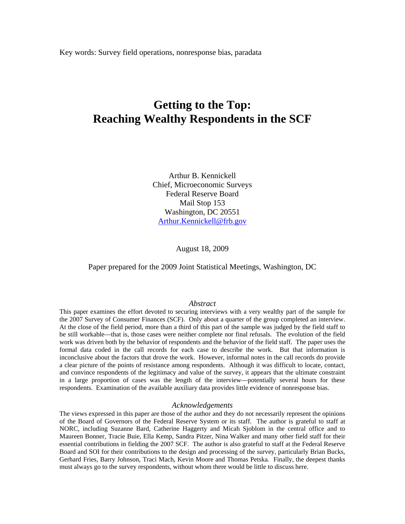Key words: Survey field operations, nonresponse bias, paradata

# **Getting to the Top: Reaching Wealthy Respondents in the SCF**

Arthur B. Kennickell Chief, Microeconomic Surveys Federal Reserve Board Mail Stop 153 Washington, DC 20551 Arthur.Kennickell@frb.gov

August 18, 2009

Paper prepared for the 2009 Joint Statistical Meetings, Washington, DC

# *Abstract*

This paper examines the effort devoted to securing interviews with a very wealthy part of the sample for the 2007 Survey of Consumer Finances (SCF). Only about a quarter of the group completed an interview. At the close of the field period, more than a third of this part of the sample was judged by the field staff to be still workable—that is, those cases were neither complete nor final refusals. The evolution of the field work was driven both by the behavior of respondents and the behavior of the field staff. The paper uses the formal data coded in the call records for each case to describe the work. But that information is inconclusive about the factors that drove the work. However, informal notes in the call records do provide a clear picture of the points of resistance among respondents. Although it was difficult to locate, contact, and convince respondents of the legitimacy and value of the survey, it appears that the ultimate constraint in a large proportion of cases was the length of the interview—potentially several hours for these respondents. Examination of the available auxiliary data provides little evidence of nonresponse bias.

#### *Acknowledgements*

The views expressed in this paper are those of the author and they do not necessarily represent the opinions of the Board of Governors of the Federal Reserve System or its staff. The author is grateful to staff at NORC, including Suzanne Bard, Catherine Haggerty and Micah Sjoblom in the central office and to Maureen Bonner, Tracie Buie, Ella Kemp, Sandra Pitzer, Nina Walker and many other field staff for their essential contributions in fielding the 2007 SCF. The author is also grateful to staff at the Federal Reserve Board and SOI for their contributions to the design and processing of the survey, particularly Brian Bucks, Gerhard Fries, Barry Johnson, Traci Mach, Kevin Moore and Thomas Petska. Finally, the deepest thanks must always go to the survey respondents, without whom there would be little to discuss here.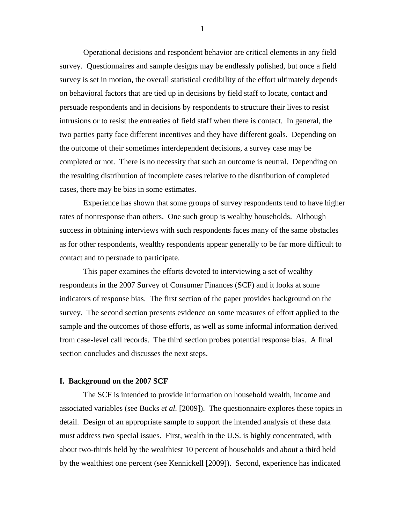Operational decisions and respondent behavior are critical elements in any field survey. Questionnaires and sample designs may be endlessly polished, but once a field survey is set in motion, the overall statistical credibility of the effort ultimately depends on behavioral factors that are tied up in decisions by field staff to locate, contact and persuade respondents and in decisions by respondents to structure their lives to resist intrusions or to resist the entreaties of field staff when there is contact. In general, the two parties party face different incentives and they have different goals. Depending on the outcome of their sometimes interdependent decisions, a survey case may be completed or not. There is no necessity that such an outcome is neutral. Depending on the resulting distribution of incomplete cases relative to the distribution of completed cases, there may be bias in some estimates.

Experience has shown that some groups of survey respondents tend to have higher rates of nonresponse than others. One such group is wealthy households. Although success in obtaining interviews with such respondents faces many of the same obstacles as for other respondents, wealthy respondents appear generally to be far more difficult to contact and to persuade to participate.

This paper examines the efforts devoted to interviewing a set of wealthy respondents in the 2007 Survey of Consumer Finances (SCF) and it looks at some indicators of response bias. The first section of the paper provides background on the survey. The second section presents evidence on some measures of effort applied to the sample and the outcomes of those efforts, as well as some informal information derived from case-level call records. The third section probes potential response bias. A final section concludes and discusses the next steps.

## **I. Background on the 2007 SCF**

The SCF is intended to provide information on household wealth, income and associated variables (see Bucks *et al.* [2009]). The questionnaire explores these topics in detail. Design of an appropriate sample to support the intended analysis of these data must address two special issues. First, wealth in the U.S. is highly concentrated, with about two-thirds held by the wealthiest 10 percent of households and about a third held by the wealthiest one percent (see Kennickell [2009]). Second, experience has indicated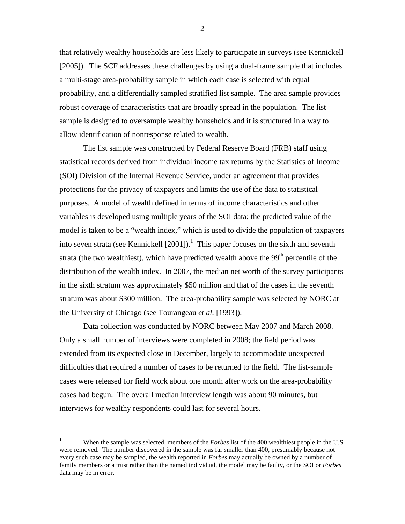that relatively wealthy households are less likely to participate in surveys (see Kennickell [2005]). The SCF addresses these challenges by using a dual-frame sample that includes a multi-stage area-probability sample in which each case is selected with equal probability, and a differentially sampled stratified list sample. The area sample provides robust coverage of characteristics that are broadly spread in the population. The list sample is designed to oversample wealthy households and it is structured in a way to allow identification of nonresponse related to wealth.

The list sample was constructed by Federal Reserve Board (FRB) staff using statistical records derived from individual income tax returns by the Statistics of Income (SOI) Division of the Internal Revenue Service, under an agreement that provides protections for the privacy of taxpayers and limits the use of the data to statistical purposes. A model of wealth defined in terms of income characteristics and other variables is developed using multiple years of the SOI data; the predicted value of the model is taken to be a "wealth index," which is used to divide the population of taxpayers into seven strata (see Kennickell  $[2001]$ ).<sup>1</sup> This paper focuses on the sixth and seventh strata (the two wealthiest), which have predicted wealth above the  $99<sup>th</sup>$  percentile of the distribution of the wealth index. In 2007, the median net worth of the survey participants in the sixth stratum was approximately \$50 million and that of the cases in the seventh stratum was about \$300 million. The area-probability sample was selected by NORC at the University of Chicago (see Tourangeau *et al.* [1993]).

Data collection was conducted by NORC between May 2007 and March 2008. Only a small number of interviews were completed in 2008; the field period was extended from its expected close in December, largely to accommodate unexpected difficulties that required a number of cases to be returned to the field. The list-sample cases were released for field work about one month after work on the area-probability cases had begun. The overall median interview length was about 90 minutes, but interviews for wealthy respondents could last for several hours.

1

<sup>1</sup> When the sample was selected, members of the *Forbes* list of the 400 wealthiest people in the U.S. were removed. The number discovered in the sample was far smaller than 400, presumably because not every such case may be sampled, the wealth reported in *Forbes* may actually be owned by a number of family members or a trust rather than the named individual, the model may be faulty, or the SOI or *Forbes*  data may be in error.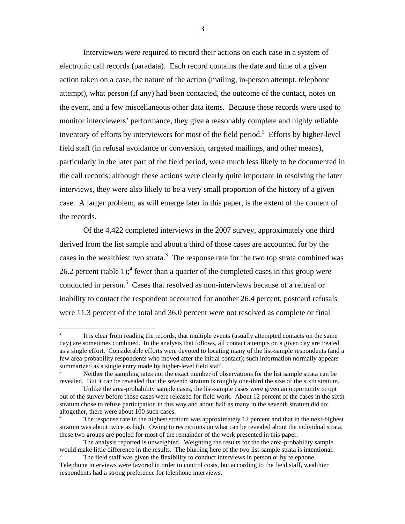Interviewers were required to record their actions on each case in a system of electronic call records (paradata). Each record contains the date and time of a given action taken on a case, the nature of the action (mailing, in-person attempt, telephone attempt), what person (if any) had been contacted, the outcome of the contact, notes on the event, and a few miscellaneous other data items. Because these records were used to monitor interviewers' performance, they give a reasonably complete and highly reliable inventory of efforts by interviewers for most of the field period.<sup>2</sup> Efforts by higher-level field staff (in refusal avoidance or conversion, targeted mailings, and other means), particularly in the later part of the field period, were much less likely to be documented in the call records; although these actions were clearly quite important in resolving the later interviews, they were also likely to be a very small proportion of the history of a given case. A larger problem, as will emerge later in this paper, is the extent of the content of the records.

Of the 4,422 completed interviews in the 2007 survey, approximately one third derived from the list sample and about a third of those cases are accounted for by the cases in the wealthiest two strata.<sup>3</sup> The response rate for the two top strata combined was 26.2 percent (table 1);<sup>4</sup> fewer than a quarter of the completed cases in this group were conducted in person.<sup>5</sup> Cases that resolved as non-interviews because of a refusal or inability to contact the respondent accounted for another 26.4 percent, postcard refusals were 11.3 percent of the total and 36.0 percent were not resolved as complete or final

 $\frac{1}{2}$  It is clear from reading the records, that multiple events (usually attempted contacts on the same day) are sometimes combined. In the analysis that follows, all contact attempts on a given day are treated as a single effort. Considerable efforts were devoted to locating many of the list-sample respondents (and a few area-probability respondents who moved after the initial contact); such information normally appears summarized as a single entry made by higher-level field staff.

Neither the sampling rates nor the exact number of observations for the list sample strata can be revealed. But it can be revealed that the seventh stratum is roughly one-third the size of the sixth stratum.

Unlike the area-probability sample cases, the list-sample cases were given an opportunity to opt out of the survey before those cases were released for field work. About 12 percent of the cases in the sixth stratum chose to refuse participation in this way and about half as many in the seventh stratum did so; altogether, there were about 100 such cases.

<sup>4</sup> The response rate in the highest stratum was approximately 12 percent and that in the next-highest stratum was about twice as high. Owing to restrictions on what can be revealed about the individual strata, these two groups are pooled for most of the remainder of the work presented in this paper.

The analysis reported is unweighted. Weighting the results for the the area-probability sample would make little difference in the results. The blurring here of the two list-sample strata is intentional. 5

The field staff was given the flexibility to conduct interviews in person or by telephone. Telephone interviews were favored in order to control costs, but according to the field staff, wealthier respondents had a strong preference for telephone interviews.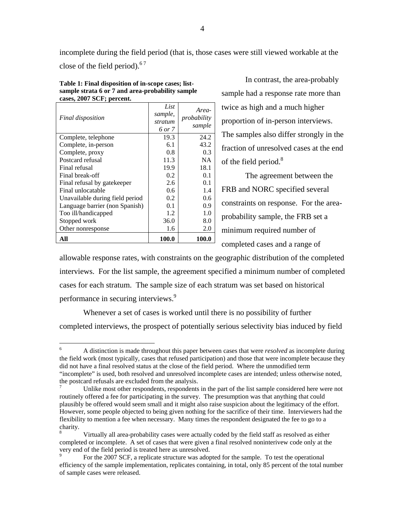incomplete during the field period (that is, those cases were still viewed workable at the close of the field period). $67$ 

| Final disposition               | List<br>sample,<br>stratum<br>6 or 7 | Area-<br>probability<br>sample |
|---------------------------------|--------------------------------------|--------------------------------|
| Complete, telephone             | 19.3                                 | 24.2                           |
| Complete, in-person             | 6.1                                  | 43.2                           |
| Complete, proxy                 | 0.8                                  | 0.3                            |
| Postcard refusal                | 11.3                                 | <b>NA</b>                      |
| Final refusal                   | 19.9                                 | 18.1                           |
| Final break-off                 | 0.2                                  | 0.1                            |
| Final refusal by gatekeeper     | 2.6                                  | 0.1                            |
| Final unlocatable               | 0.6                                  | 1.4                            |
| Unavailable during field period | 0.2                                  | 0.6                            |
| Language barrier (non Spanish)  | 0.1                                  | 0.9                            |
| Too ill/handicapped             | 1.2                                  | 1.0                            |
| Stopped work                    | 36.0                                 | 8.0                            |
| Other nonresponse               | 1.6                                  | 2.0                            |
| All                             | 100.0                                | 100.0                          |

## **Table 1: Final disposition of in-scope cases; listsample strata 6 or 7 and area-probability sample cases, 2007 SCF; percent.**

In contrast, the area-probably sample had a response rate more than twice as high and a much higher proportion of in-person interviews. The samples also differ strongly in the fraction of unresolved cases at the end of the field period.<sup>8</sup>

The agreement between the FRB and NORC specified several constraints on response. For the areaprobability sample, the FRB set a minimum required number of completed cases and a range of

allowable response rates, with constraints on the geographic distribution of the completed interviews. For the list sample, the agreement specified a minimum number of completed cases for each stratum. The sample size of each stratum was set based on historical performance in securing interviews.<sup>9</sup>

Whenever a set of cases is worked until there is no possibility of further completed interviews, the prospect of potentially serious selectivity bias induced by field

 $\frac{1}{6}$  A distinction is made throughout this paper between cases that were *resolved* as incomplete during the field work (most typically, cases that refused participation) and those that were incomplete because they did not have a final resolved status at the close of the field period. Where the unmodified term "incomplete" is used, both resolved and unresolved incomplete cases are intended; unless otherwise noted, the postcard refusals are excluded from the analysis.

<sup>7</sup> Unlike most other respondents, respondents in the part of the list sample considered here were not routinely offered a fee for participating in the survey. The presumption was that anything that could plausibly be offered would seem small and it might also raise suspicion about the legitimacy of the effort. However, some people objected to being given nothing for the sacrifice of their time. Interviewers had the flexibility to mention a fee when necessary. Many times the respondent designated the fee to go to a charity.

<sup>8</sup> Virtually all area-probability cases were actually coded by the field staff as resolved as either completed or incomplete. A set of cases that were given a final resolved noninterivew code only at the very end of the field period is treated here as unresolved.

<sup>9</sup> For the 2007 SCF, a replicate structure was adopted for the sample. To test the operational efficiency of the sample implementation, replicates containing, in total, only 85 percent of the total number of sample cases were released.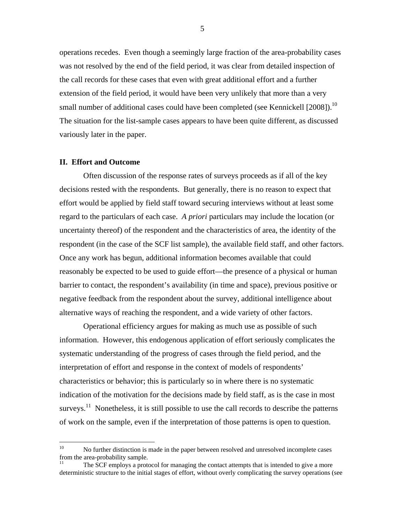operations recedes. Even though a seemingly large fraction of the area-probability cases was not resolved by the end of the field period, it was clear from detailed inspection of the call records for these cases that even with great additional effort and a further extension of the field period, it would have been very unlikely that more than a very small number of additional cases could have been completed (see Kennickell [2008]).<sup>10</sup> The situation for the list-sample cases appears to have been quite different, as discussed variously later in the paper.

## **II. Effort and Outcome**

Often discussion of the response rates of surveys proceeds as if all of the key decisions rested with the respondents. But generally, there is no reason to expect that effort would be applied by field staff toward securing interviews without at least some regard to the particulars of each case. *A priori* particulars may include the location (or uncertainty thereof) of the respondent and the characteristics of area, the identity of the respondent (in the case of the SCF list sample), the available field staff, and other factors. Once any work has begun, additional information becomes available that could reasonably be expected to be used to guide effort—the presence of a physical or human barrier to contact, the respondent's availability (in time and space), previous positive or negative feedback from the respondent about the survey, additional intelligence about alternative ways of reaching the respondent, and a wide variety of other factors.

Operational efficiency argues for making as much use as possible of such information. However, this endogenous application of effort seriously complicates the systematic understanding of the progress of cases through the field period, and the interpretation of effort and response in the context of models of respondents' characteristics or behavior; this is particularly so in where there is no systematic indication of the motivation for the decisions made by field staff, as is the case in most surveys.<sup>11</sup> Nonetheless, it is still possible to use the call records to describe the patterns of work on the sample, even if the interpretation of those patterns is open to question.

 $10\,$ 10 No further distinction is made in the paper between resolved and unresolved incomplete cases from the area-probability sample.<br><sup>11</sup> The SCE employs a prote

The SCF employs a protocol for managing the contact attempts that is intended to give a more deterministic structure to the initial stages of effort, without overly complicating the survey operations (see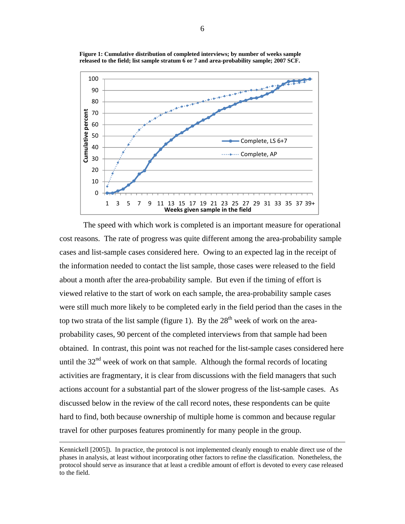

**Figure 1: Cumulative distribution of completed interviews; by number of weeks sample released to the field; list sample stratum 6 or 7 and area-probability sample; 2007 SCF.** 

The speed with which work is completed is an important measure for operational cost reasons. The rate of progress was quite different among the area-probability sample cases and list-sample cases considered here. Owing to an expected lag in the receipt of the information needed to contact the list sample, those cases were released to the field about a month after the area-probability sample. But even if the timing of effort is viewed relative to the start of work on each sample, the area-probability sample cases were still much more likely to be completed early in the field period than the cases in the top two strata of the list sample (figure 1). By the  $28<sup>th</sup>$  week of work on the areaprobability cases, 90 percent of the completed interviews from that sample had been obtained. In contrast, this point was not reached for the list-sample cases considered here until the  $32<sup>nd</sup>$  week of work on that sample. Although the formal records of locating activities are fragmentary, it is clear from discussions with the field managers that such actions account for a substantial part of the slower progress of the list-sample cases. As discussed below in the review of the call record notes, these respondents can be quite hard to find, both because ownership of multiple home is common and because regular travel for other purposes features prominently for many people in the group.

Kennickell [2005]). In practice, the protocol is not implemented cleanly enough to enable direct use of the phases in analysis, at least without incorporating other factors to refine the classification. Nonetheless, the protocol should serve as insurance that at least a credible amount of effort is devoted to every case released to the field.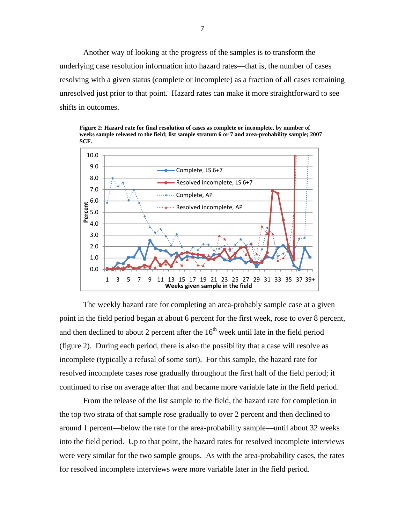Another way of looking at the progress of the samples is to transform the underlying case resolution information into hazard rates—that is, the number of cases resolving with a given status (complete or incomplete) as a fraction of all cases remaining unresolved just prior to that point. Hazard rates can make it more straightforward to see shifts in outcomes.

**Figure 2: Hazard rate for final resolution of cases as complete or incomplete, by number of weeks sample released to the field; list sample stratum 6 or 7 and area-probability sample; 2007 SCF.** 



The weekly hazard rate for completing an area-probably sample case at a given point in the field period began at about 6 percent for the first week, rose to over 8 percent, and then declined to about 2 percent after the  $16<sup>th</sup>$  week until late in the field period (figure 2). During each period, there is also the possibility that a case will resolve as incomplete (typically a refusal of some sort). For this sample, the hazard rate for resolved incomplete cases rose gradually throughout the first half of the field period; it continued to rise on average after that and became more variable late in the field period.

From the release of the list sample to the field, the hazard rate for completion in the top two strata of that sample rose gradually to over 2 percent and then declined to around 1 percent—below the rate for the area-probability sample—until about 32 weeks into the field period. Up to that point, the hazard rates for resolved incomplete interviews were very similar for the two sample groups. As with the area-probability cases, the rates for resolved incomplete interviews were more variable later in the field period.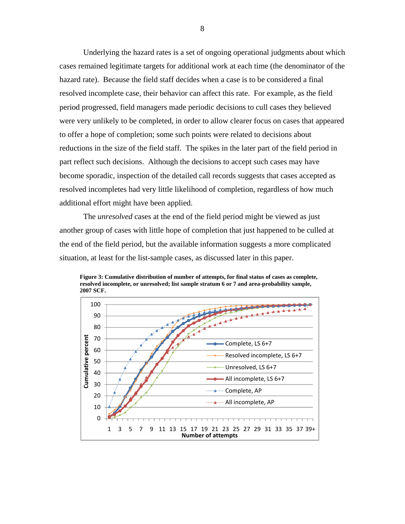Underlying the hazard rates is a set of ongoing operational judgments about which cases remained legitimate targets for additional work at each time (the denominator of the hazard rate). Because the field staff decides when a case is to be considered a final resolved incomplete case, their behavior can affect this rate. For example, as the field period progressed, field managers made periodic decisions to cull cases they believed were very unlikely to be completed, in order to allow clearer focus on cases that appeared to offer a hope of completion; some such points were related to decisions about reductions in the size of the field staff. The spikes in the later part of the field period in part reflect such decisions. Although the decisions to accept such cases may have become sporadic, inspection of the detailed call records suggests that cases accepted as resolved incompletes had very little likelihood of completion, regardless of how much additional effort might have been applied.

The *unresolved* cases at the end of the field period might be viewed as just another group of cases with little hope of completion that just happened to be culled at the end of the field period, but the available information suggests a more complicated situation, at least for the list-sample cases, as discussed later in this paper.



**Figure 3: Cumulative distribution of number of attempts, for final status of cases as complete, resolved incomplete, or unresolved; list sample stratum 6 or 7 and area-probability sample, 2007 SCF.**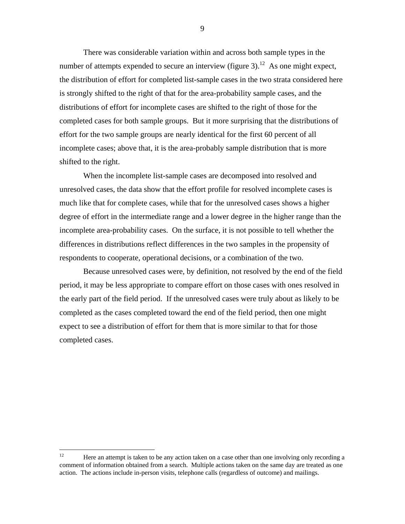There was considerable variation within and across both sample types in the number of attempts expended to secure an interview (figure 3).<sup>12</sup> As one might expect, the distribution of effort for completed list-sample cases in the two strata considered here is strongly shifted to the right of that for the area-probability sample cases, and the distributions of effort for incomplete cases are shifted to the right of those for the completed cases for both sample groups. But it more surprising that the distributions of effort for the two sample groups are nearly identical for the first 60 percent of all incomplete cases; above that, it is the area-probably sample distribution that is more shifted to the right.

When the incomplete list-sample cases are decomposed into resolved and unresolved cases, the data show that the effort profile for resolved incomplete cases is much like that for complete cases, while that for the unresolved cases shows a higher degree of effort in the intermediate range and a lower degree in the higher range than the incomplete area-probability cases. On the surface, it is not possible to tell whether the differences in distributions reflect differences in the two samples in the propensity of respondents to cooperate, operational decisions, or a combination of the two.

Because unresolved cases were, by definition, not resolved by the end of the field period, it may be less appropriate to compare effort on those cases with ones resolved in the early part of the field period. If the unresolved cases were truly about as likely to be completed as the cases completed toward the end of the field period, then one might expect to see a distribution of effort for them that is more similar to that for those completed cases.

 $12$ Here an attempt is taken to be any action taken on a case other than one involving only recording a comment of information obtained from a search. Multiple actions taken on the same day are treated as one action. The actions include in-person visits, telephone calls (regardless of outcome) and mailings.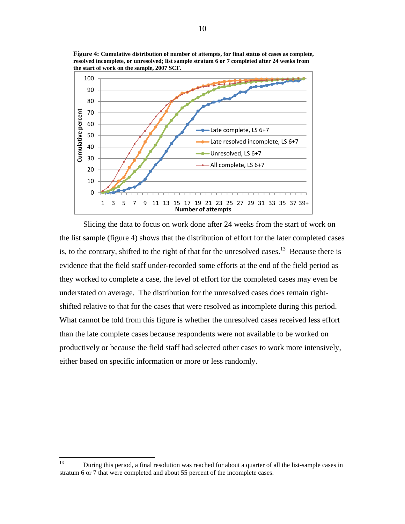

**Figure 4: Cumulative distribution of number of attempts, for final status of cases as complete, resolved incomplete, or unresolved; list sample stratum 6 or 7 completed after 24 weeks from the start of work on the sample, 2007 SCF.** 

Slicing the data to focus on work done after 24 weeks from the start of work on the list sample (figure 4) shows that the distribution of effort for the later completed cases is, to the contrary, shifted to the right of that for the unresolved cases.<sup>13</sup> Because there is evidence that the field staff under-recorded some efforts at the end of the field period as they worked to complete a case, the level of effort for the completed cases may even be understated on average. The distribution for the unresolved cases does remain rightshifted relative to that for the cases that were resolved as incomplete during this period. What cannot be told from this figure is whether the unresolved cases received less effort than the late complete cases because respondents were not available to be worked on productively or because the field staff had selected other cases to work more intensively, either based on specific information or more or less randomly.

<sup>13</sup> 13 During this period, a final resolution was reached for about a quarter of all the list-sample cases in stratum 6 or 7 that were completed and about 55 percent of the incomplete cases.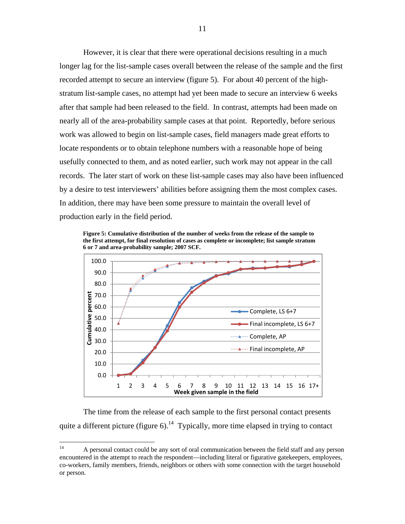However, it is clear that there were operational decisions resulting in a much longer lag for the list-sample cases overall between the release of the sample and the first recorded attempt to secure an interview (figure 5). For about 40 percent of the highstratum list-sample cases, no attempt had yet been made to secure an interview 6 weeks after that sample had been released to the field. In contrast, attempts had been made on nearly all of the area-probability sample cases at that point. Reportedly, before serious work was allowed to begin on list-sample cases, field managers made great efforts to locate respondents or to obtain telephone numbers with a reasonable hope of being usefully connected to them, and as noted earlier, such work may not appear in the call records. The later start of work on these list-sample cases may also have been influenced by a desire to test interviewers' abilities before assigning them the most complex cases. In addition, there may have been some pressure to maintain the overall level of production early in the field period.

Figure 5: Cumulative distribution of the number of weeks from the release of the sample to the first attempt, for final resolution of cases as complete or incomplete; list sample stratum **2007 SCF. 6 or 7 and area-probability sample; 2007 SCF.** 



The time from the release of each sample to the first personal contact presents quite a different picture (figure 6).<sup>14</sup> Typically, more time elapsed in trying to contact

 $14$ 14 A personal contact could be any sort of oral communication between the field staff and any person encountered in the attempt to reach the respondent—including literal or figurative gatekeepers, employees, co-workers, family members, friends, neighbors or others with some connection with the target household or person.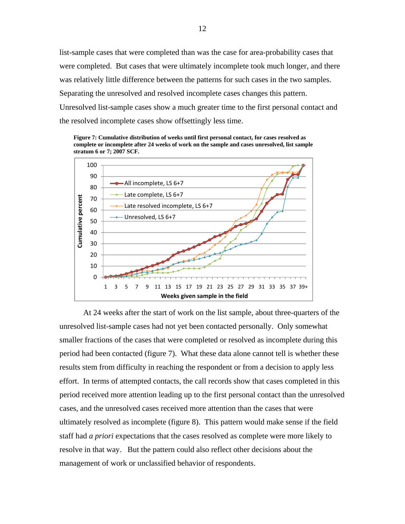list-sample cases that were completed than was the case for area-probability cases that were completed. But cases that were ultimately incomplete took much longer, and there was relatively little difference between the patterns for such cases in the two samples. Separating the unresolved and resolved incomplete cases changes this pattern. Unresolved list-sample cases show a much greater time to the first personal contact and the resolved incomplete cases show offsettingly less time.

**Figure 7: Cumulative distribution of weeks until first personal contact, for cases resolved as complete or incomplete after 24 weeks of work on the sample and cases unresolved, list sample stratum 6 or 7; 2007 SCF.** 



At 24 weeks after the start of work on the list sample, about three-quarters of the unresolved list-sample cases had not yet been contacted personally. Only somewhat smaller fractions of the cases that were completed or resolved as incomplete during this period had been contacted (figure 7). What these data alone cannot tell is whether these results stem from difficulty in reaching the respondent or from a decision to apply less effort. In terms of attempted contacts, the call records show that cases completed in this period received more attention leading up to the first personal contact than the unresolved cases, and the unresolved cases received more attention than the cases that were ultimately resolved as incomplete (figure 8). This pattern would make sense if the field staff had *a priori* expectations that the cases resolved as complete were more likely to resolve in that way. But the pattern could also reflect other decisions about the management of work or unclassified behavior of respondents.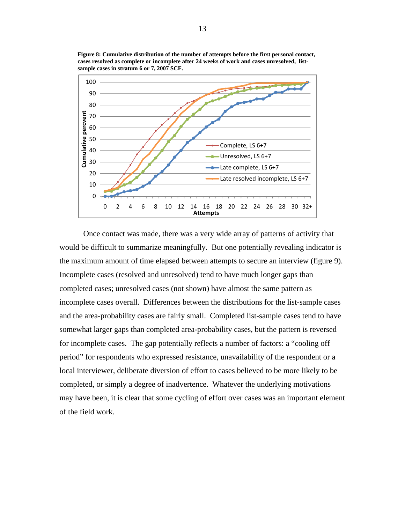

**Figure 8: Cumulative distribution of the number of attempts before the first personal contact, cases resolved as complete or incomplete after 24 weeks of work and cases unresolved, listsample cases in stratum 6 or 7, 2007 SCF.**

Once contact was made, there was a very wide array of patterns of activity that would be difficult to summarize meaningfully. But one potentially revealing indicator is the maximum amount of time elapsed between attempts to secure an interview (figure 9). Incomplete cases (resolved and unresolved) tend to have much longer gaps than completed cases; unresolved cases (not shown) have almost the same pattern as incomplete cases overall. Differences between the distributions for the list-sample cases and the area-probability cases are fairly small. Completed list-sample cases tend to have somewhat larger gaps than completed area-probability cases, but the pattern is reversed for incomplete cases. The gap potentially reflects a number of factors: a "cooling off period" for respondents who expressed resistance, unavailability of the respondent or a local interviewer, deliberate diversion of effort to cases believed to be more likely to be completed, or simply a degree of inadvertence. Whatever the underlying motivations may have been, it is clear that some cycling of effort over cases was an important element of the field work.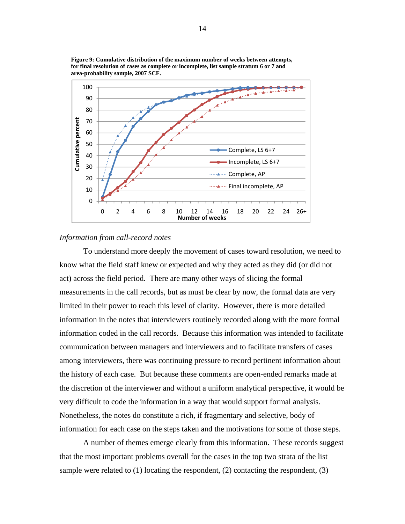

**Figure 9: Cumulative distribution of the maximum number of weeks between attempts, for final resolution of cases as complete or incomplete, list sample stratum 6 or 7 and area-probability sample, 2007 SCF.** 

## *Information from call-record notes*

To understand more deeply the movement of cases toward resolution, we need to know what the field staff knew or expected and why they acted as they did (or did not act) across the field period. There are many other ways of slicing the formal measurements in the call records, but as must be clear by now, the formal data are very limited in their power to reach this level of clarity. However, there is more detailed information in the notes that interviewers routinely recorded along with the more formal information coded in the call records. Because this information was intended to facilitate communication between managers and interviewers and to facilitate transfers of cases among interviewers, there was continuing pressure to record pertinent information about the history of each case. But because these comments are open-ended remarks made at the discretion of the interviewer and without a uniform analytical perspective, it would be very difficult to code the information in a way that would support formal analysis. Nonetheless, the notes do constitute a rich, if fragmentary and selective, body of information for each case on the steps taken and the motivations for some of those steps.

A number of themes emerge clearly from this information. These records suggest that the most important problems overall for the cases in the top two strata of the list sample were related to (1) locating the respondent, (2) contacting the respondent, (3)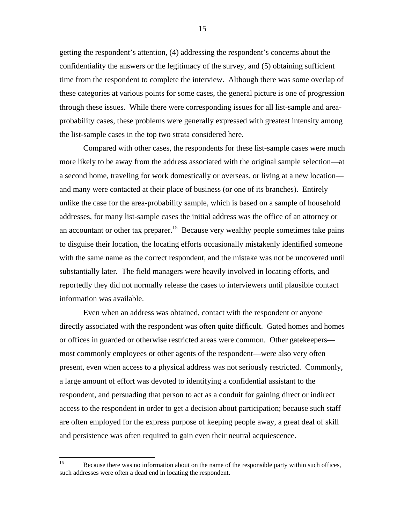getting the respondent's attention, (4) addressing the respondent's concerns about the confidentiality the answers or the legitimacy of the survey, and (5) obtaining sufficient time from the respondent to complete the interview. Although there was some overlap of these categories at various points for some cases, the general picture is one of progression through these issues. While there were corresponding issues for all list-sample and areaprobability cases, these problems were generally expressed with greatest intensity among the list-sample cases in the top two strata considered here.

Compared with other cases, the respondents for these list-sample cases were much more likely to be away from the address associated with the original sample selection—at a second home, traveling for work domestically or overseas, or living at a new location and many were contacted at their place of business (or one of its branches). Entirely unlike the case for the area-probability sample, which is based on a sample of household addresses, for many list-sample cases the initial address was the office of an attorney or an accountant or other tax preparer.<sup>15</sup> Because very wealthy people sometimes take pains to disguise their location, the locating efforts occasionally mistakenly identified someone with the same name as the correct respondent, and the mistake was not be uncovered until substantially later. The field managers were heavily involved in locating efforts, and reportedly they did not normally release the cases to interviewers until plausible contact information was available.

Even when an address was obtained, contact with the respondent or anyone directly associated with the respondent was often quite difficult. Gated homes and homes or offices in guarded or otherwise restricted areas were common. Other gatekeepers most commonly employees or other agents of the respondent—were also very often present, even when access to a physical address was not seriously restricted. Commonly, a large amount of effort was devoted to identifying a confidential assistant to the respondent, and persuading that person to act as a conduit for gaining direct or indirect access to the respondent in order to get a decision about participation; because such staff are often employed for the express purpose of keeping people away, a great deal of skill and persistence was often required to gain even their neutral acquiescence.

<sup>15</sup> Because there was no information about on the name of the responsible party within such offices, such addresses were often a dead end in locating the respondent.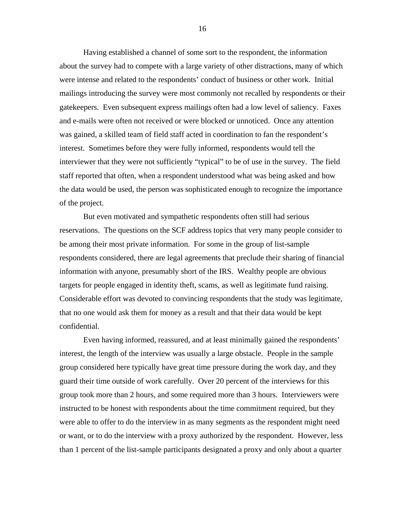Having established a channel of some sort to the respondent, the information about the survey had to compete with a large variety of other distractions, many of which were intense and related to the respondents' conduct of business or other work. Initial mailings introducing the survey were most commonly not recalled by respondents or their gatekeepers. Even subsequent express mailings often had a low level of saliency. Faxes and e-mails were often not received or were blocked or unnoticed. Once any attention was gained, a skilled team of field staff acted in coordination to fan the respondent's interest. Sometimes before they were fully informed, respondents would tell the interviewer that they were not sufficiently "typical" to be of use in the survey. The field staff reported that often, when a respondent understood what was being asked and how the data would be used, the person was sophisticated enough to recognize the importance of the project.

But even motivated and sympathetic respondents often still had serious reservations. The questions on the SCF address topics that very many people consider to be among their most private information. For some in the group of list-sample respondents considered, there are legal agreements that preclude their sharing of financial information with anyone, presumably short of the IRS. Wealthy people are obvious targets for people engaged in identity theft, scams, as well as legitimate fund raising. Considerable effort was devoted to convincing respondents that the study was legitimate, that no one would ask them for money as a result and that their data would be kept confidential.

Even having informed, reassured, and at least minimally gained the respondents' interest, the length of the interview was usually a large obstacle. People in the sample group considered here typically have great time pressure during the work day, and they guard their time outside of work carefully. Over 20 percent of the interviews for this group took more than 2 hours, and some required more than 3 hours. Interviewers were instructed to be honest with respondents about the time commitment required, but they were able to offer to do the interview in as many segments as the respondent might need or want, or to do the interview with a proxy authorized by the respondent. However, less than 1 percent of the list-sample participants designated a proxy and only about a quarter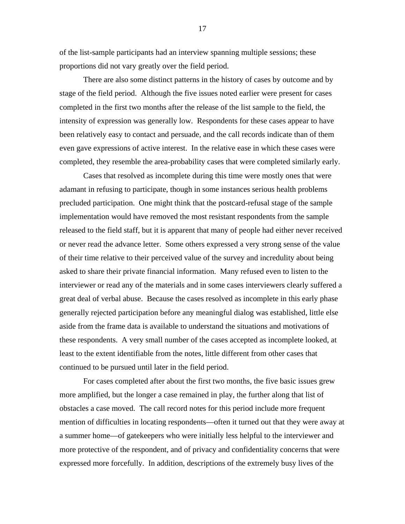of the list-sample participants had an interview spanning multiple sessions; these proportions did not vary greatly over the field period.

There are also some distinct patterns in the history of cases by outcome and by stage of the field period. Although the five issues noted earlier were present for cases completed in the first two months after the release of the list sample to the field, the intensity of expression was generally low. Respondents for these cases appear to have been relatively easy to contact and persuade, and the call records indicate than of them even gave expressions of active interest. In the relative ease in which these cases were completed, they resemble the area-probability cases that were completed similarly early.

Cases that resolved as incomplete during this time were mostly ones that were adamant in refusing to participate, though in some instances serious health problems precluded participation. One might think that the postcard-refusal stage of the sample implementation would have removed the most resistant respondents from the sample released to the field staff, but it is apparent that many of people had either never received or never read the advance letter. Some others expressed a very strong sense of the value of their time relative to their perceived value of the survey and incredulity about being asked to share their private financial information. Many refused even to listen to the interviewer or read any of the materials and in some cases interviewers clearly suffered a great deal of verbal abuse. Because the cases resolved as incomplete in this early phase generally rejected participation before any meaningful dialog was established, little else aside from the frame data is available to understand the situations and motivations of these respondents. A very small number of the cases accepted as incomplete looked, at least to the extent identifiable from the notes, little different from other cases that continued to be pursued until later in the field period.

For cases completed after about the first two months, the five basic issues grew more amplified, but the longer a case remained in play, the further along that list of obstacles a case moved. The call record notes for this period include more frequent mention of difficulties in locating respondents—often it turned out that they were away at a summer home—of gatekeepers who were initially less helpful to the interviewer and more protective of the respondent, and of privacy and confidentiality concerns that were expressed more forcefully. In addition, descriptions of the extremely busy lives of the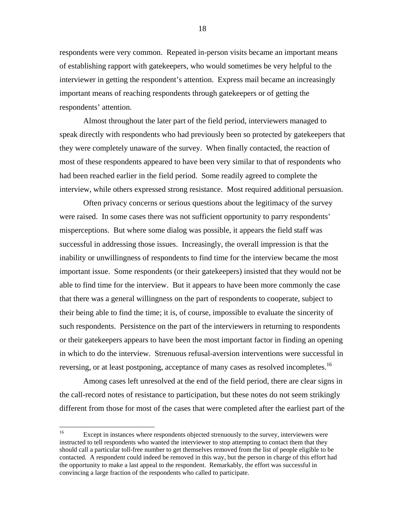respondents were very common. Repeated in-person visits became an important means of establishing rapport with gatekeepers, who would sometimes be very helpful to the interviewer in getting the respondent's attention. Express mail became an increasingly important means of reaching respondents through gatekeepers or of getting the respondents' attention.

Almost throughout the later part of the field period, interviewers managed to speak directly with respondents who had previously been so protected by gatekeepers that they were completely unaware of the survey. When finally contacted, the reaction of most of these respondents appeared to have been very similar to that of respondents who had been reached earlier in the field period. Some readily agreed to complete the interview, while others expressed strong resistance. Most required additional persuasion.

Often privacy concerns or serious questions about the legitimacy of the survey were raised. In some cases there was not sufficient opportunity to parry respondents' misperceptions. But where some dialog was possible, it appears the field staff was successful in addressing those issues. Increasingly, the overall impression is that the inability or unwillingness of respondents to find time for the interview became the most important issue. Some respondents (or their gatekeepers) insisted that they would not be able to find time for the interview. But it appears to have been more commonly the case that there was a general willingness on the part of respondents to cooperate, subject to their being able to find the time; it is, of course, impossible to evaluate the sincerity of such respondents. Persistence on the part of the interviewers in returning to respondents or their gatekeepers appears to have been the most important factor in finding an opening in which to do the interview. Strenuous refusal-aversion interventions were successful in reversing, or at least postponing, acceptance of many cases as resolved incompletes.<sup>16</sup>

Among cases left unresolved at the end of the field period, there are clear signs in the call-record notes of resistance to participation, but these notes do not seem strikingly different from those for most of the cases that were completed after the earliest part of the

<sup>16</sup> Except in instances where respondents objected strenuously to the survey, interviewers were instructed to tell respondents who wanted the interviewer to stop attempting to contact them that they should call a particular toll-free number to get themselves removed from the list of people eligible to be contacted. A respondent could indeed be removed in this way, but the person in charge of this effort had the opportunity to make a last appeal to the respondent. Remarkably, the effort was successful in convincing a large fraction of the respondents who called to participate.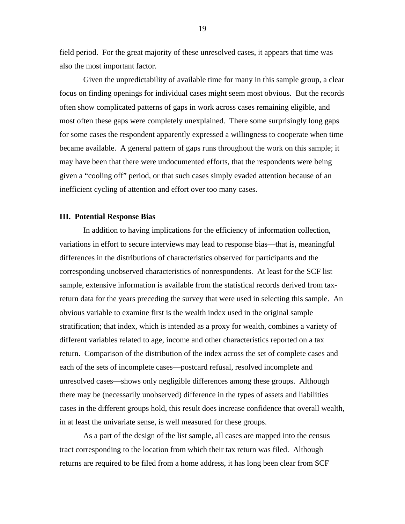field period. For the great majority of these unresolved cases, it appears that time was also the most important factor.

Given the unpredictability of available time for many in this sample group, a clear focus on finding openings for individual cases might seem most obvious. But the records often show complicated patterns of gaps in work across cases remaining eligible, and most often these gaps were completely unexplained. There some surprisingly long gaps for some cases the respondent apparently expressed a willingness to cooperate when time became available. A general pattern of gaps runs throughout the work on this sample; it may have been that there were undocumented efforts, that the respondents were being given a "cooling off" period, or that such cases simply evaded attention because of an inefficient cycling of attention and effort over too many cases.

## **III. Potential Response Bias**

In addition to having implications for the efficiency of information collection, variations in effort to secure interviews may lead to response bias—that is, meaningful differences in the distributions of characteristics observed for participants and the corresponding unobserved characteristics of nonrespondents. At least for the SCF list sample, extensive information is available from the statistical records derived from taxreturn data for the years preceding the survey that were used in selecting this sample. An obvious variable to examine first is the wealth index used in the original sample stratification; that index, which is intended as a proxy for wealth, combines a variety of different variables related to age, income and other characteristics reported on a tax return. Comparison of the distribution of the index across the set of complete cases and each of the sets of incomplete cases—postcard refusal, resolved incomplete and unresolved cases—shows only negligible differences among these groups. Although there may be (necessarily unobserved) difference in the types of assets and liabilities cases in the different groups hold, this result does increase confidence that overall wealth, in at least the univariate sense, is well measured for these groups.

As a part of the design of the list sample, all cases are mapped into the census tract corresponding to the location from which their tax return was filed. Although returns are required to be filed from a home address, it has long been clear from SCF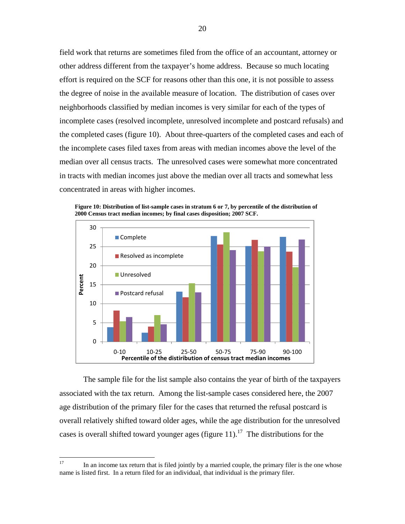field work that returns are sometimes filed from the office of an accountant, attorney or other address different from the taxpayer's home address. Because so much locating effort is required on the SCF for reasons other than this one, it is not possible to assess the degree of noise in the available measure of location. The distribution of cases over neighborhoods classified by median incomes is very similar for each of the types of incomplete cases (resolved incomplete, unresolved incomplete and postcard refusals) and the completed cases (figure 10). About three-quarters of the completed cases and each of the incomplete cases filed taxes from areas with median incomes above the level of the median over all census tracts. The unresolved cases were somewhat more concentrated in tracts with median incomes just above the median over all tracts and somewhat less concentrated in areas with higher incomes.



**Figure 10: Distribution of list-sample cases in stratum 6 or 7, by percentile of the distribution of 2000 Census tract median incomes; by final cases disposition; 2007 SCF.** 

The sample file for the list sample also contains the year of birth of the taxpayers associated with the tax return. Among the list-sample cases considered here, the 2007 age distribution of the primary filer for the cases that returned the refusal postcard is overall relatively shifted toward older ages, while the age distribution for the unresolved cases is overall shifted toward younger ages (figure 11).<sup>17</sup> The distributions for the

<sup>17</sup> In an income tax return that is filed jointly by a married couple, the primary filer is the one whose name is listed first. In a return filed for an individual, that individual is the primary filer.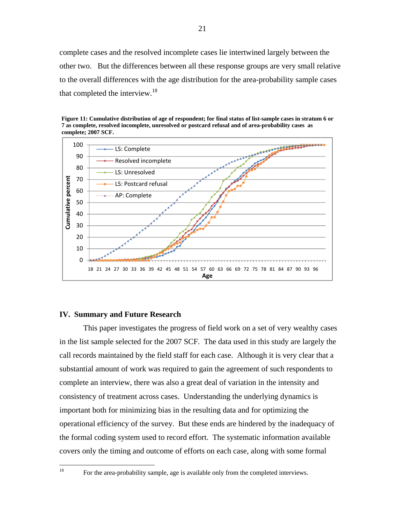complete cases and the resolved incomplete cases lie intertwined largely between the other two. But the differences between all these response groups are very small relative to the overall differences with the age distribution for the area-probability sample cases that completed the interview.<sup>18</sup>



**Figure 11: Cumulative distribution of age of respondent; for final status of list-sample cases in stratum 6 or 7 as complete, resolved incomplete, unresolved or postcard refusal and of area-probability cases as** 

# **IV. Summary and Future Research**

This paper investigates the progress of field work on a set of very wealthy cases in the list sample selected for the 2007 SCF. The data used in this study are largely the call records maintained by the field staff for each case. Although it is very clear that a substantial amount of work was required to gain the agreement of such respondents to complete an interview, there was also a great deal of variation in the intensity and consistency of treatment across cases. Understanding the underlying dynamics is important both for minimizing bias in the resulting data and for optimizing the operational efficiency of the survey. But these ends are hindered by the inadequacy of the formal coding system used to record effort. The systematic information available covers only the timing and outcome of efforts on each case, along with some formal

For the area-probability sample, age is available only from the completed interviews.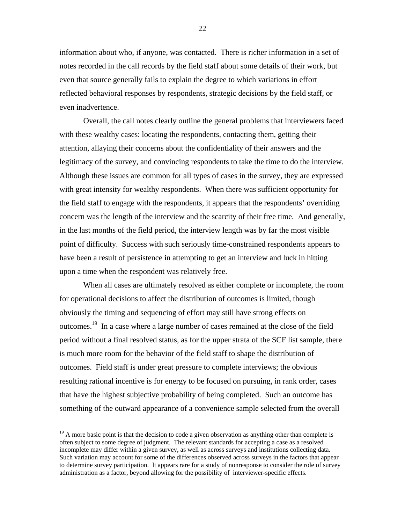information about who, if anyone, was contacted. There is richer information in a set of notes recorded in the call records by the field staff about some details of their work, but even that source generally fails to explain the degree to which variations in effort reflected behavioral responses by respondents, strategic decisions by the field staff, or even inadvertence.

Overall, the call notes clearly outline the general problems that interviewers faced with these wealthy cases: locating the respondents, contacting them, getting their attention, allaying their concerns about the confidentiality of their answers and the legitimacy of the survey, and convincing respondents to take the time to do the interview. Although these issues are common for all types of cases in the survey, they are expressed with great intensity for wealthy respondents. When there was sufficient opportunity for the field staff to engage with the respondents, it appears that the respondents' overriding concern was the length of the interview and the scarcity of their free time. And generally, in the last months of the field period, the interview length was by far the most visible point of difficulty. Success with such seriously time-constrained respondents appears to have been a result of persistence in attempting to get an interview and luck in hitting upon a time when the respondent was relatively free.

When all cases are ultimately resolved as either complete or incomplete, the room for operational decisions to affect the distribution of outcomes is limited, though obviously the timing and sequencing of effort may still have strong effects on outcomes.19 In a case where a large number of cases remained at the close of the field period without a final resolved status, as for the upper strata of the SCF list sample, there is much more room for the behavior of the field staff to shape the distribution of outcomes. Field staff is under great pressure to complete interviews; the obvious resulting rational incentive is for energy to be focused on pursuing, in rank order, cases that have the highest subjective probability of being completed. Such an outcome has something of the outward appearance of a convenience sample selected from the overall

 $\overline{a}$ 

 $19$  A more basic point is that the decision to code a given observation as anything other than complete is often subject to some degree of judgment. The relevant standards for accepting a case as a resolved incomplete may differ within a given survey, as well as across surveys and institutions collecting data. Such variation may account for some of the differences observed across surveys in the factors that appear to determine survey participation. It appears rare for a study of nonresponse to consider the role of survey administration as a factor, beyond allowing for the possibility of interviewer-specific effects.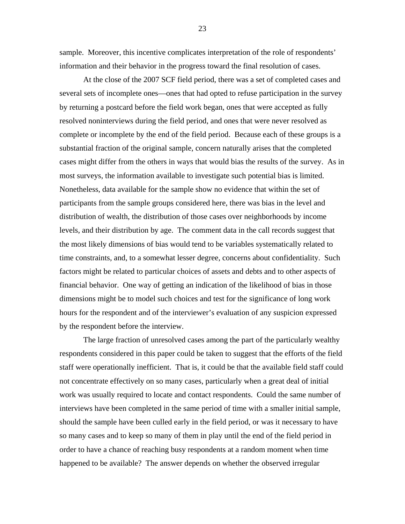sample. Moreover, this incentive complicates interpretation of the role of respondents' information and their behavior in the progress toward the final resolution of cases.

At the close of the 2007 SCF field period, there was a set of completed cases and several sets of incomplete ones—ones that had opted to refuse participation in the survey by returning a postcard before the field work began, ones that were accepted as fully resolved noninterviews during the field period, and ones that were never resolved as complete or incomplete by the end of the field period. Because each of these groups is a substantial fraction of the original sample, concern naturally arises that the completed cases might differ from the others in ways that would bias the results of the survey. As in most surveys, the information available to investigate such potential bias is limited. Nonetheless, data available for the sample show no evidence that within the set of participants from the sample groups considered here, there was bias in the level and distribution of wealth, the distribution of those cases over neighborhoods by income levels, and their distribution by age. The comment data in the call records suggest that the most likely dimensions of bias would tend to be variables systematically related to time constraints, and, to a somewhat lesser degree, concerns about confidentiality. Such factors might be related to particular choices of assets and debts and to other aspects of financial behavior. One way of getting an indication of the likelihood of bias in those dimensions might be to model such choices and test for the significance of long work hours for the respondent and of the interviewer's evaluation of any suspicion expressed by the respondent before the interview.

The large fraction of unresolved cases among the part of the particularly wealthy respondents considered in this paper could be taken to suggest that the efforts of the field staff were operationally inefficient. That is, it could be that the available field staff could not concentrate effectively on so many cases, particularly when a great deal of initial work was usually required to locate and contact respondents. Could the same number of interviews have been completed in the same period of time with a smaller initial sample, should the sample have been culled early in the field period, or was it necessary to have so many cases and to keep so many of them in play until the end of the field period in order to have a chance of reaching busy respondents at a random moment when time happened to be available? The answer depends on whether the observed irregular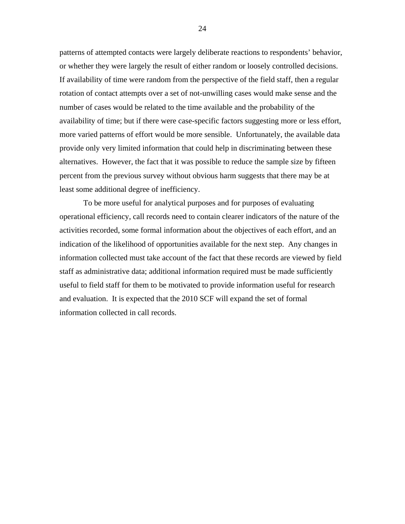patterns of attempted contacts were largely deliberate reactions to respondents' behavior, or whether they were largely the result of either random or loosely controlled decisions. If availability of time were random from the perspective of the field staff, then a regular rotation of contact attempts over a set of not-unwilling cases would make sense and the number of cases would be related to the time available and the probability of the availability of time; but if there were case-specific factors suggesting more or less effort, more varied patterns of effort would be more sensible. Unfortunately, the available data provide only very limited information that could help in discriminating between these alternatives. However, the fact that it was possible to reduce the sample size by fifteen percent from the previous survey without obvious harm suggests that there may be at least some additional degree of inefficiency.

To be more useful for analytical purposes and for purposes of evaluating operational efficiency, call records need to contain clearer indicators of the nature of the activities recorded, some formal information about the objectives of each effort, and an indication of the likelihood of opportunities available for the next step. Any changes in information collected must take account of the fact that these records are viewed by field staff as administrative data; additional information required must be made sufficiently useful to field staff for them to be motivated to provide information useful for research and evaluation. It is expected that the 2010 SCF will expand the set of formal information collected in call records.